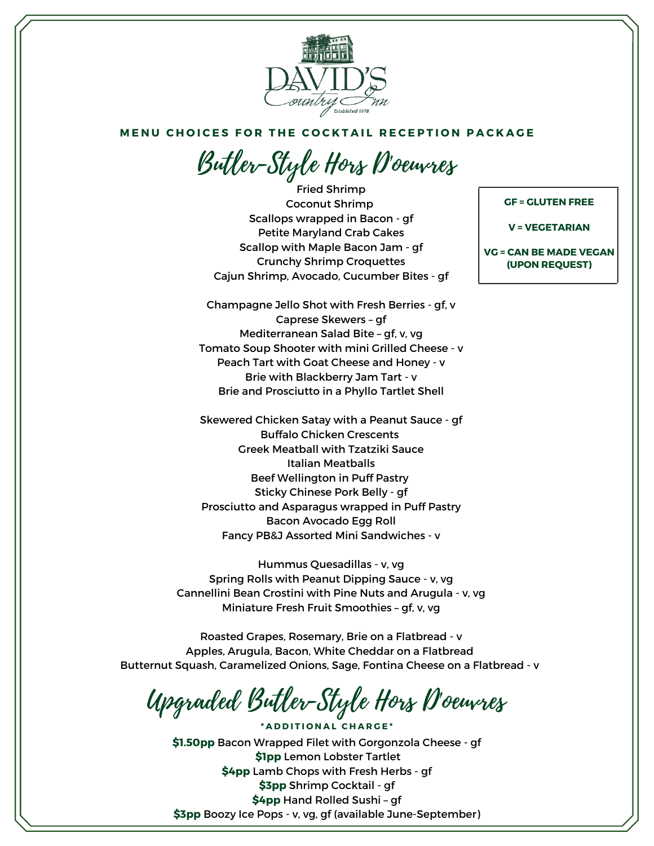

## MENU CHOICES FOR THE COCKTAIL RECEPTION PACKAGE

Butler-Style Hors D'oeuvres

Fried Shrimp Coconut Shrimp Scallops wrapped in Bacon - gf Petite Maryland Crab Cakes Scallop with Maple Bacon Jam - gf Crunchy Shrimp Croquettes Cajun Shrimp, Avocado, Cucumber Bites - gf

Champagne Jello Shot with Fresh Berries - gf, v Caprese Skewers – gf Mediterranean Salad Bite – gf, v, vg Tomato Soup Shooter with mini Grilled Cheese - v Peach Tart with Goat Cheese and Honey - v Brie with Blackberry Jam Tart - v Brie and Prosciutto in a Phyllo Tartlet Shell

Skewered Chicken Satay with a Peanut Sauce - gf Buffalo Chicken Crescents Greek Meatball with Tzatziki Sauce Italian Meatballs Beef Wellington in Puff Pastry Sticky Chinese Pork Belly - gf Prosciutto and Asparagus wrapped in Puff Pastry Bacon Avocado Egg Roll Fancy PB&J Assorted Mini Sandwiches - v

Hummus Quesadillas - v, vg Spring Rolls with Peanut Dipping Sauce - v, vg Cannellini Bean Crostini with Pine Nuts and Arugula - v, vg Miniature Fresh Fruit Smoothies – gf, v, vg

Roasted Grapes, Rosemary, Brie on a Flatbread - v Apples, Arugula, Bacon, White Cheddar on a Flatbread Butternut Squash, Caramelized Onions, Sage, Fontina Cheese on a Flatbread - v

Upgraded Butler-Style Hors D'oeuvres

**\* A D D I T I O N A L C H A R G E \***

**\$1.50pp** Bacon Wrapped Filet with Gorgonzola Cheese - gf **\$1pp** Lemon Lobster Tartlet **\$4pp** Lamb Chops with Fresh Herbs - gf **\$3pp** Shrimp Cocktail - gf **\$4pp** Hand Rolled Sushi – gf **\$3pp** Boozy Ice Pops - v, vg, gf (available June-September)

## **GF = GLUTEN FREE**

**V = VEGETARIAN**

**VG = CAN BE MADE VEGAN (UPON REQUEST)**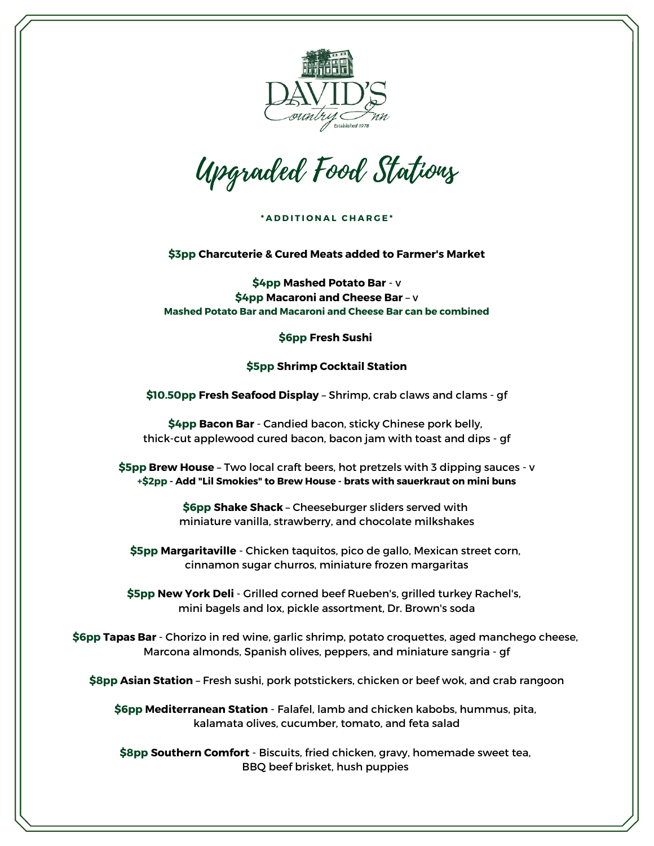

Upgraded Food Stations

**\* A D D I T I O N A L C H A R G E \***

**\$3pp Charcuterie & Cured Meats added to Farmer's Market**

**\$4pp Mashed Potato Bar** - v **\$4pp Macaroni and Cheese Bar** – v **Mashed Potato Bar and Macaroni and Cheese Bar can be combined**

**\$6pp Fresh Sushi**

## **\$5pp Shrimp Cocktail Station**

**\$10.50pp Fresh Seafood Display** – Shrimp, crab claws and clams - gf

**\$4pp Bacon Bar** - Candied bacon, sticky Chinese pork belly, thick-cut applewood cured bacon, bacon jam with toast and dips - gf

**\$5pp Brew House** – Two local craft beers, hot pretzels with 3 dipping sauces - v **+\$2pp - Add "Lil Smokies" to Brew House - brats with sauerkraut on mini buns**

> **\$6pp Shake Shack** – Cheeseburger sliders served with miniature vanilla, strawberry, and chocolate milkshakes

**\$5pp Margaritaville** - Chicken taquitos, pico de gallo, Mexican street corn, cinnamon sugar churros, miniature frozen margaritas

**\$5pp New York Deli** - Grilled corned beef Rueben's, grilled turkey Rachel's, mini bagels and lox, pickle assortment, Dr. Brown's soda

**\$6pp Tapas Bar** - Chorizo in red wine, garlic shrimp, potato croquettes, aged manchego cheese, Marcona almonds, Spanish olives, peppers, and miniature sangria - gf

**\$8pp Asian Station** – Fresh sushi, pork potstickers, chicken or beef wok, and crab rangoon

**\$6pp Mediterranean Station** - Falafel, lamb and chicken kabobs, hummus, pita, kalamata olives, cucumber, tomato, and feta salad

**\$8pp Southern Comfort** - Biscuits, fried chicken, gravy, homemade sweet tea, BBQ beef brisket, hush puppies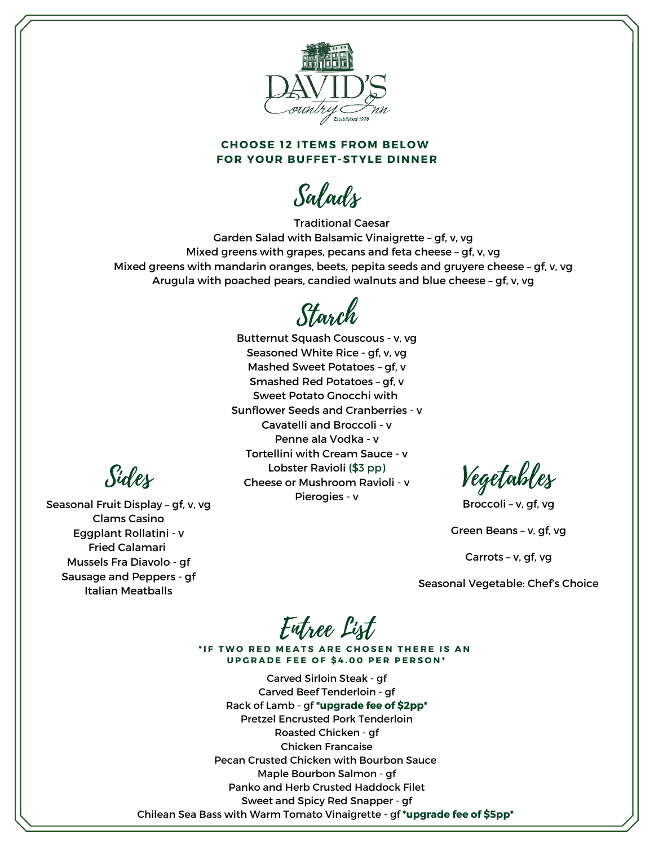

## **CHOOSE 12 ITEMS FROM BELOW FOR YOUR BUFFET-STYLE DINNER**

Salads

Traditional Caesar Garden Salad with Balsamic Vinaigrette – gf, v, vg Mixed greens with grapes, pecans and feta cheese – gf, v, vg Mixed greens with mandarin oranges, beets, pepita seeds and gruyere cheese – gf, v, vg Arugula with poached pears, candied walnuts and blue cheese – gf, v, vg

Starch

Butternut Squash Couscous - v, vg Seasoned White Rice - gf, v, vg Mashed Sweet Potatoes – gf, v Smashed Red Potatoes – gf, v Sweet Potato Gnocchi with Sunflower Seeds and Cranberries - v Cavatelli and Broccoli - v Penne ala Vodka - v Tortellini with Cream Sauce - v Lobster Ravioli (\$3 pp) Cheese or Mushroom Ravioli - v Pierogies - v

Vegetables

Broccoli – v, gf, vg

Green Beans – v, gf, vg

Carrots – v, gf, vg

Seasonal Vegetable: Chef's Choice

Entree List

\*IF TWO RED MEATS ARE CHOSEN THERE IS AN **UPGRADE FEE OF \$4.00 PER PERSON\*** 

Carved Sirloin Steak - gf Carved Beef Tenderloin - gf Rack of Lamb - gf **\*upgrade fee of \$2pp\*** Pretzel Encrusted Pork Tenderloin Roasted Chicken - gf Chicken Francaise Pecan Crusted Chicken with Bourbon Sauce Maple Bourbon Salmon - gf Panko and Herb Crusted Haddock Filet Sweet and Spicy Red Snapper - gf Chilean Sea Bass with Warm Tomato Vinaigrette - gf **\*upgrade fee of \$5pp\***

Sides

Seasonal Fruit Display – gf, v, vg Clams Casino Eggplant Rollatini - v Fried Calamari Mussels Fra Diavolo - gf Sausage and Peppers - gf Italian Meatballs